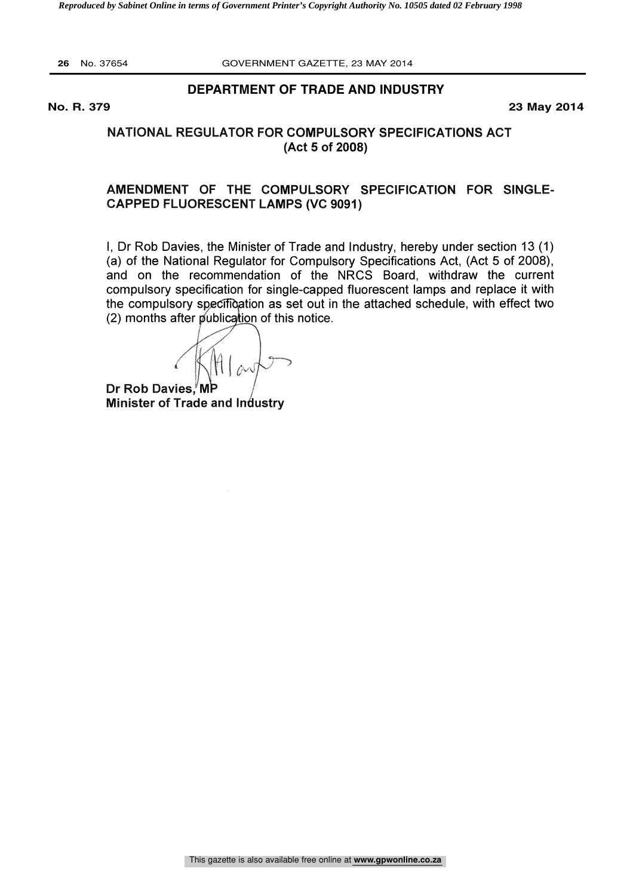#### **DEPARTMENT OF TRADE AND INDUSTRY**

**No. R. 379 23 May 2014**

#### NATIONAL REGULATOR FOR COMPULSORY SPECIFICATIONS ACT (Act 5 of 2008)

#### AMENDMENT OF THE COMPULSORY SPECIFICATION FOR SINGLE-CAPPED FLUORESCENT LAMPS (VC 9091)

I, Dr Rob Davies, the Minister of Trade and Industry, hereby under section 13 (1) (a) of the National Regulator for Compulsory Specifications Act, (Act 5 of 2008), and on the recommendation of the NRCS Board, withdraw the current compulsory specification for single-capped fluorescent lamps and replace it with the compulsory specification as set out in the attached schedule, with effect two  $(2)$  months after publication of this notice.

Dr Rob Davies,<sup>'</sup>M Minister of Trade and Industry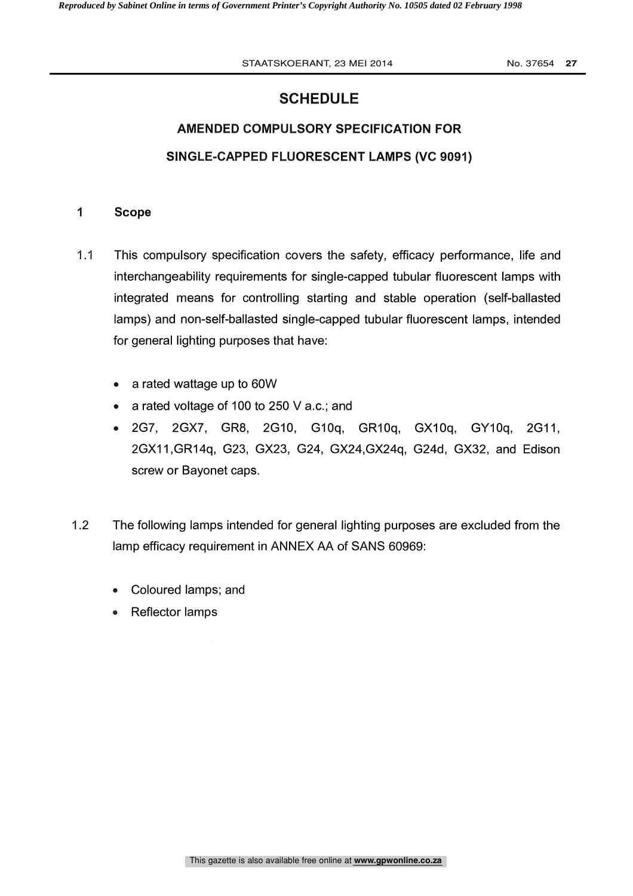STAATSKOERANT, 23 MEI 2014 **No. 37654 27** 

## **SCHEDULE**

# AMENDED COMPULSORY SPECIFICATION FOR SINGLE-CAPPED FLUORESCENT LAMPS (VC 9091)

### <sup>1</sup> Scope

- 1.1 This compulsory specification covers the safety, efficacy performance, life and interchangeability requirements for single-capped tubular fluorescent lamps with integrated means for controlling starting and stable operation (self-ballasted lamps) and non-self-ballasted single-capped tubular fluorescent lamps, intended for general lighting purposes that have:
	- a rated wattage up to 60W  $\bullet$
	- a rated voltage of 100 to 250 V a.c.; and
	- 2G7, 2GX7, GR8, 2G10, G10q, GR10q, GX10q, GY10q, 2G11,  $\bullet$ 2GX11,GR14q, G23, GX23, G24, GX24,GX24q, G24d, GX32, and Edison screw or Bayonet caps.
- 1.2 The following lamps intended for general lighting purposes are excluded from the lamp efficacy requirement in ANNEX AA of SANS 60969:
	- Coloured lamps; and
	- Reflector lamps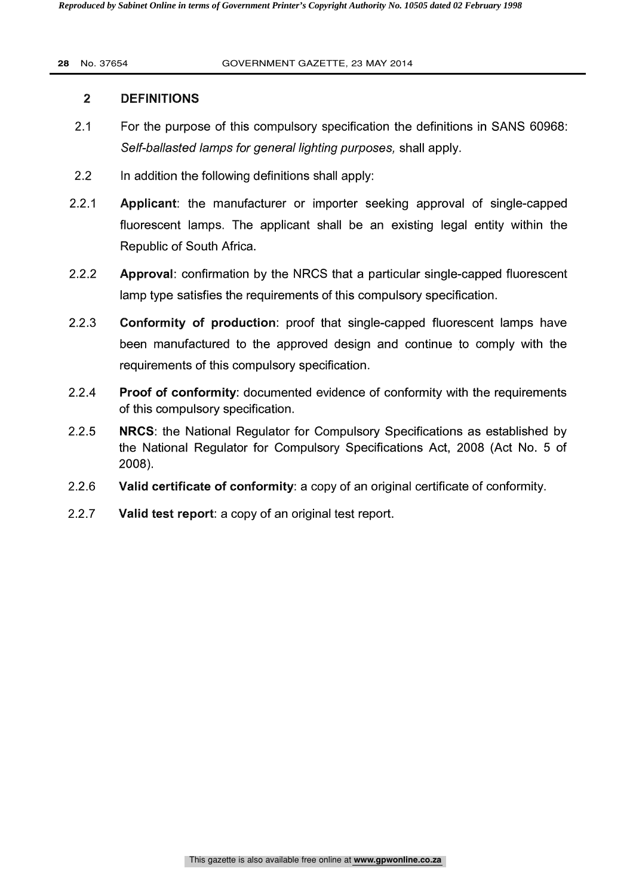#### 2 DEFINITIONS

- 2.1 For the purpose of this compulsory specification the definitions in SANS 60968: Self-ballasted lamps for general lighting purposes, shall apply.
- 2.2 In addition the following definitions shall apply:
- 2.2.1 Applicant: the manufacturer or importer seeking approval of single-capped fluorescent lamps. The applicant shall be an existing legal entity within the Republic of South Africa.
- 2.2.2 Approval: confirmation by the NRCS that a particular single-capped fluorescent lamp type satisfies the requirements of this compulsory specification.
- 2.2.3 Conformity of production: proof that single-capped fluorescent lamps have been manufactured to the approved design and continue to comply with the requirements of this compulsory specification.
- 2.2.4 Proof of conformity: documented evidence of conformity with the requirements of this compulsory specification.
- 2.2.5 **NRCS:** the National Regulator for Compulsory Specifications as established by the National Regulator for Compulsory Specifications Act, 2008 (Act No. 5 of 2008).
- 2.2.6 Valid certificate of conformity: a copy of an original certificate of conformity.
- 2.2.7 Valid test report: a copy of an original test report.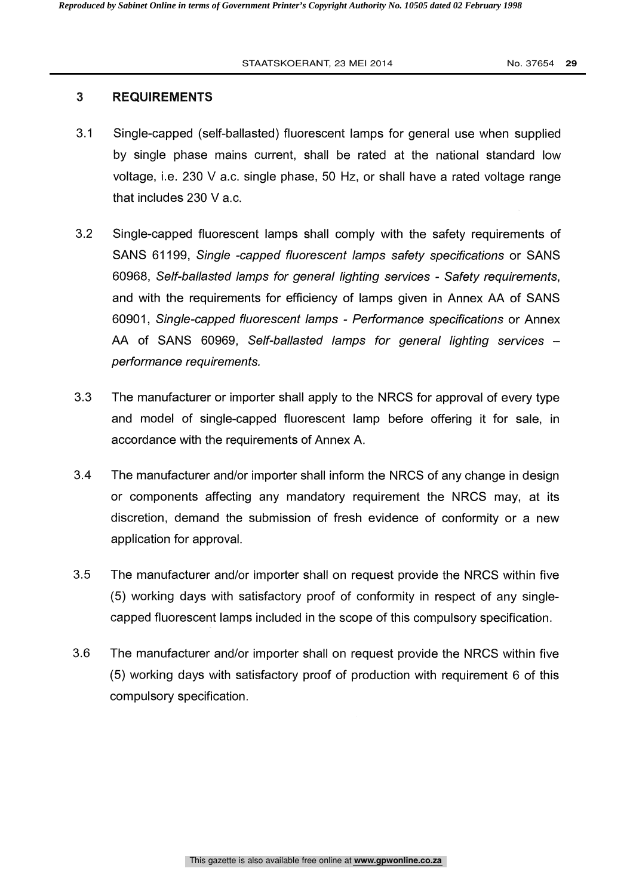#### 3 REQUIREMENTS

- 3.1 Single-capped (self-ballasted) fluorescent lamps for general use when supplied by single phase mains current, shall be rated at the national standard low voltage, i.e. 230 V a.c. single phase, 50 Hz, or shall have a rated voltage range that includes 230 V a.c.
- 3.2 Single-capped fluorescent lamps shall comply with the safety requirements of SANS 61199, Single -capped fluorescent lamps safety specifications or SANS 60968, Self-ballasted lamps for general lighting services - Safety requirements, and with the requirements for efficiency of lamps given in Annex AA of SANS 60901, Single-capped fluorescent lamps - Performance specifications or Annex AA of SANS 60969, Self-ballasted lamps for general lighting services performance requirements.
- 3.3 The manufacturer or importer shall apply to the NRCS for approval of every type and model of single-capped fluorescent lamp before offering it for sale, in accordance with the requirements of Annex A.
- 3.4 The manufacturer and/or importer shall inform the NRCS of any change in design or components affecting any mandatory requirement the NRCS may, at its discretion, demand the submission of fresh evidence of conformity or a new application for approval.
- 3.5 The manufacturer and/or importer shall on request provide the NRCS within five (5) working days with satisfactory proof of conformity in respect of any singlecapped fluorescent lamps included in the scope of this compulsory specification.
- 3.6 The manufacturer and/or importer shall on request provide the NRCS within five (5) working days with satisfactory proof of production with requirement 6 of this compulsory specification.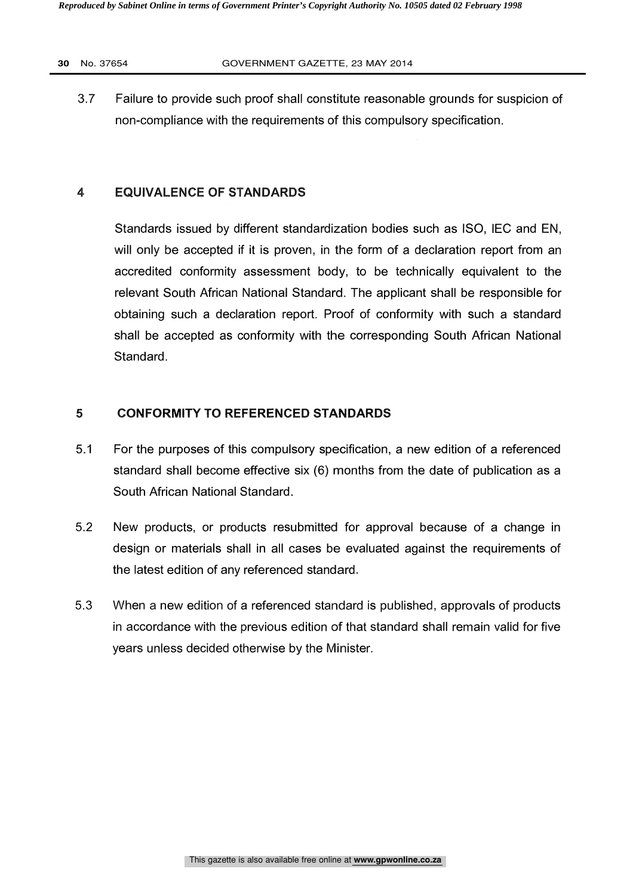3.7 Failure to provide such proof shall constitute reasonable grounds for suspicion of non-compliance with the requirements of this compulsory specification.

#### 4 EQUIVALENCE OF STANDARDS

Standards issued by different standardization bodies such as ISO, IEC and EN, will only be accepted if it is proven, in the form of a declaration report from an accredited conformity assessment body, to be technically equivalent to the relevant South African National Standard. The applicant shall be responsible for obtaining such a declaration report. Proof of conformity with such a standard shall be accepted as conformity with the corresponding South African National Standard.

#### 5 CONFORMITY TO REFERENCED STANDARDS

- 5.1 For the purposes of this compulsory specification, a new edition of a referenced standard shall become effective six (6) months from the date of publication as a South African National Standard.
- 5.2 New products, or products resubmitted for approval because of a change in design or materials shall in all cases be evaluated against the requirements of the latest edition of any referenced standard.
- 5.3 When a new edition of a referenced standard is published, approvals of products in accordance with the previous edition of that standard shall remain valid for five years unless decided otherwise by the Minister.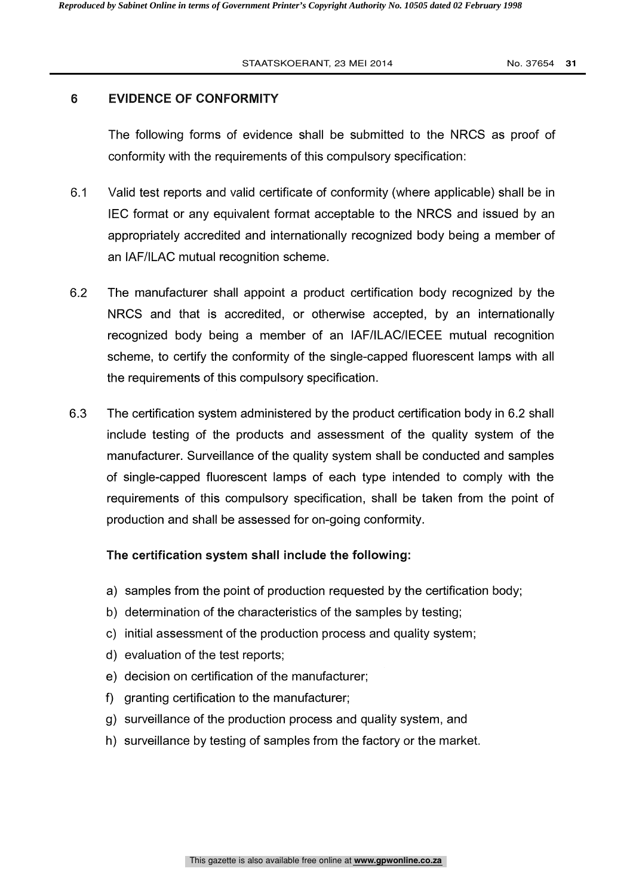#### 6 EVIDENCE OF CONFORMITY

The following forms of evidence shall be submitted to the NRCS as proof of conformity with the requirements of this compulsory specification:

- 6.1 Valid test reports and valid certificate of conformity (where applicable) shall be in IEC format or any equivalent format acceptable to the NRCS and issued by an appropriately accredited and internationally recognized body being a member of an IAF/ILAC mutual recognition scheme.
- 6.2 The manufacturer shall appoint a product certification body recognized by the NRCS and that is accredited, or otherwise accepted, by an internationally recognized body being a member of an IAF/ILAC/IECEE mutual recognition scheme, to certify the conformity of the single-capped fluorescent lamps with all the requirements of this compulsory specification.
- 6.3 The certification system administered by the product certification body in 6.2 shall include testing of the products and assessment of the quality system of the manufacturer. Surveillance of the quality system shall be conducted and samples of single-capped fluorescent lamps of each type intended to comply with the requirements of this compulsory specification, shall be taken from the point of production and shall be assessed for on-going conformity.

#### The certification system shall include the following:

- a) samples from the point of production requested by the certification body;
- b) determination of the characteristics of the samples by testing;
- c) initial assessment of the production process and quality system;
- d) evaluation of the test reports;
- e) decision on certification of the manufacturer;
- f) granting certification to the manufacturer;
- g) surveillance of the production process and quality system, and
- h) surveillance by testing of samples from the factory or the market.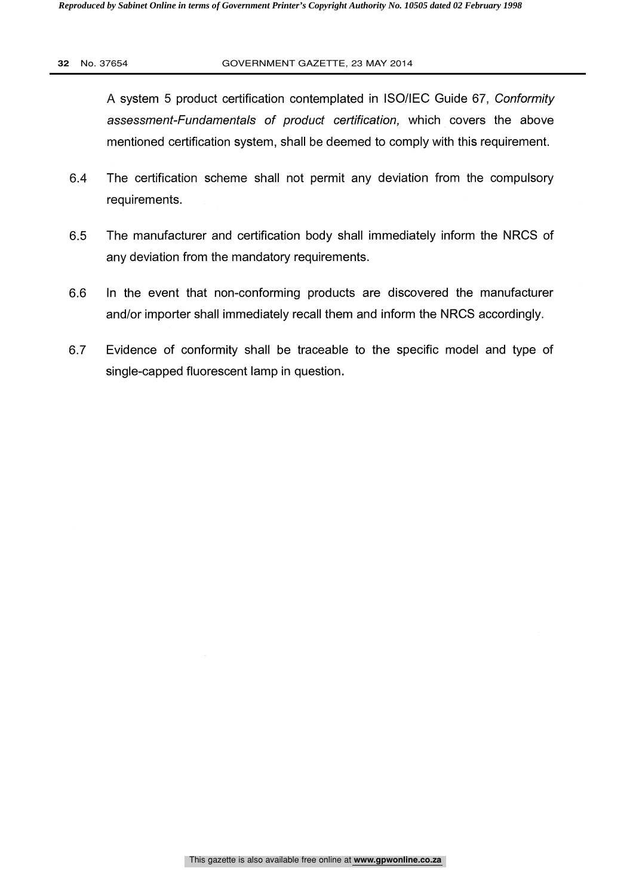A system 5 product certification contemplated in ISO/IEC Guide 67, Conformity assessment-Fundamentals of product certification, which covers the above mentioned certification system, shall be deemed to comply with this requirement.

- 6.4 The certification scheme shall not permit any deviation from the compulsory requirements.
- 6.5 The manufacturer and certification body shall immediately inform the NRCS of any deviation from the mandatory requirements.
- 6.6 In the event that non-conforming products are discovered the manufacturer and/or importer shall immediately recall them and inform the NRCS accordingly.
- 6.7 Evidence of conformity shall be traceable to the specific model and type of single-capped fluorescent lamp in question.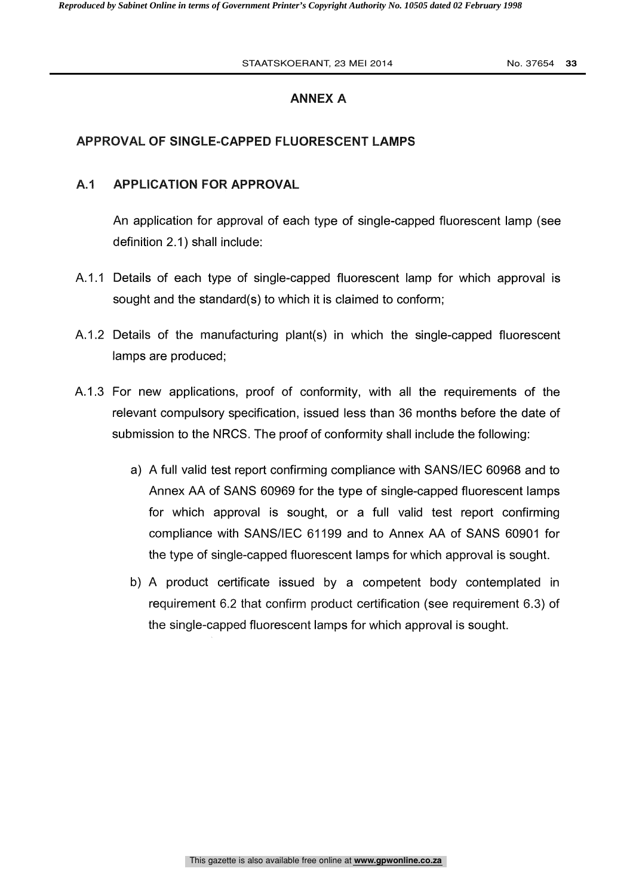#### STAATSKOERANT, 23 MEI 2014 **No. 37654 33**

#### ANNEX A

### APPROVAL OF SINGLE-CAPPED FLUORESCENT LAMPS

#### A.1 APPLICATION FOR APPROVAL

An application for approval of each type of single-capped fluorescent lamp (see definition 2.1) shall include:

- A.1.1 Details of each type of single-capped fluorescent lamp for which approval is sought and the standard(s) to which it is claimed to conform;
- A.1.2 Details of the manufacturing plant(s) in which the single-capped fluorescent lamps are produced;
- A.1.3 For new applications, proof of conformity, with all the requirements of the relevant compulsory specification, issued less than 36 months before the date of submission to the NRCS. The proof of conformity shall include the following:
	- a) A full valid test report confirming compliance with SANS/IEC 60968 and to Annex AA of SANS 60969 for the type of single-capped fluorescent lamps for which approval is sought, or a full valid test report confirming compliance with SANS/IEC 61199 and to Annex AA of SANS 60901 for the type of single-capped fluorescent lamps for which approval is sought.
	- b) A product certificate issued by a competent body contemplated in requirement 6.2 that confirm product certification (see requirement 6.3) of the single-capped fluorescent lamps for which approval is sought.